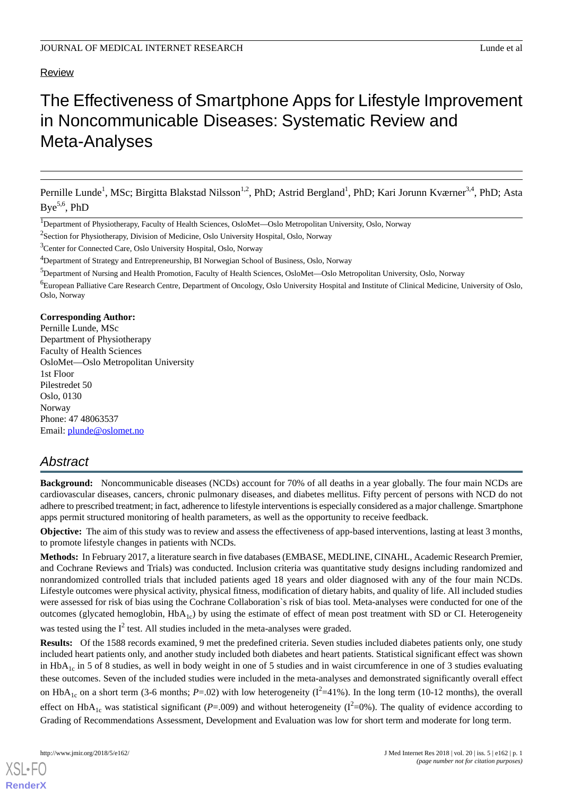#### Review

# The Effectiveness of Smartphone Apps for Lifestyle Improvement in Noncommunicable Diseases: Systematic Review and Meta-Analyses

Pernille Lunde<sup>1</sup>, MSc; Birgitta Blakstad Nilsson<sup>1,2</sup>, PhD; Astrid Bergland<sup>1</sup>, PhD; Kari Jorunn Kværner<sup>3,4</sup>, PhD; Asta  $\mathsf{Bye}^{5,6}, \mathsf{PhD}$ 

<sup>2</sup>Section for Physiotherapy, Division of Medicine, Oslo University Hospital, Oslo, Norway

<sup>3</sup>Center for Connected Care, Oslo University Hospital, Oslo, Norway

<sup>4</sup>Department of Strategy and Entrepreneurship, BI Norwegian School of Business, Oslo, Norway

<sup>5</sup>Department of Nursing and Health Promotion, Faculty of Health Sciences, OsloMet—Oslo Metropolitan University, Oslo, Norway

<sup>6</sup>European Palliative Care Research Centre, Department of Oncology, Oslo University Hospital and Institute of Clinical Medicine, University of Oslo, Oslo, Norway

**Corresponding Author:**

Pernille Lunde, MSc Department of Physiotherapy Faculty of Health Sciences OsloMet—Oslo Metropolitan University 1st Floor Pilestredet 50 Oslo, 0130 Norway Phone: 47 48063537 Email: [plunde@oslomet.no](mailto:plunde@oslomet.no)

# *Abstract*

**Background:** Noncommunicable diseases (NCDs) account for 70% of all deaths in a year globally. The four main NCDs are cardiovascular diseases, cancers, chronic pulmonary diseases, and diabetes mellitus. Fifty percent of persons with NCD do not adhere to prescribed treatment; in fact, adherence to lifestyle interventions is especially considered as a major challenge. Smartphone apps permit structured monitoring of health parameters, as well as the opportunity to receive feedback.

**Objective:** The aim of this study was to review and assess the effectiveness of app-based interventions, lasting at least 3 months, to promote lifestyle changes in patients with NCDs.

**Methods:** In February 2017, a literature search in five databases (EMBASE, MEDLINE, CINAHL, Academic Research Premier, and Cochrane Reviews and Trials) was conducted. Inclusion criteria was quantitative study designs including randomized and nonrandomized controlled trials that included patients aged 18 years and older diagnosed with any of the four main NCDs. Lifestyle outcomes were physical activity, physical fitness, modification of dietary habits, and quality of life. All included studies were assessed for risk of bias using the Cochrane Collaboration`s risk of bias tool. Meta-analyses were conducted for one of the outcomes (glycated hemoglobin,  $HbA_{1c}$ ) by using the estimate of effect of mean post treatment with SD or CI. Heterogeneity

was tested using the  $I^2$  test. All studies included in the meta-analyses were graded.

**Results:** Of the 1588 records examined, 9 met the predefined criteria. Seven studies included diabetes patients only, one study included heart patients only, and another study included both diabetes and heart patients. Statistical significant effect was shown in HbA<sub>1c</sub> in 5 of 8 studies, as well in body weight in one of 5 studies and in waist circumference in one of 3 studies evaluating these outcomes. Seven of the included studies were included in the meta-analyses and demonstrated significantly overall effect on HbA<sub>1c</sub> on a short term (3-6 months; *P*=.02) with low heterogeneity ( $I^2$ =41%). In the long term (10-12 months), the overall effect on  $HbA_{1c}$  was statistical significant (*P*=.009) and without heterogeneity ( $I^2$ =0%). The quality of evidence according to Grading of Recommendations Assessment, Development and Evaluation was low for short term and moderate for long term.

<sup>1</sup>Department of Physiotherapy, Faculty of Health Sciences, OsloMet—Oslo Metropolitan University, Oslo, Norway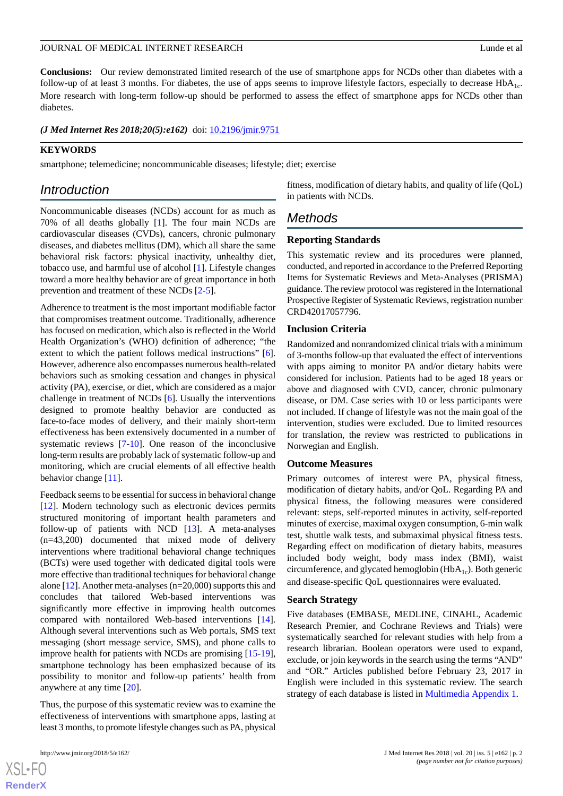# **Conclusions:** Our review demonstrated limited research of the use of smartphone apps for NCDs other than diabetes with a follow-up of at least 3 months. For diabetes, the use of apps seems to improve lifestyle factors, especially to decrease  $HbA_{1c}$ . More research with long-term follow-up should be performed to assess the effect of smartphone apps for NCDs other than diabetes.

#### *(J Med Internet Res 2018;20(5):e162)* doi:  $10.2196/$ *jmir.9751*

## **KEYWORDS**

smartphone; telemedicine; noncommunicable diseases; lifestyle; diet; exercise

# *Introduction*

Noncommunicable diseases (NCDs) account for as much as 70% of all deaths globally [\[1](#page-9-0)]. The four main NCDs are cardiovascular diseases (CVDs), cancers, chronic pulmonary diseases, and diabetes mellitus (DM), which all share the same behavioral risk factors: physical inactivity, unhealthy diet, tobacco use, and harmful use of alcohol [[1\]](#page-9-0). Lifestyle changes toward a more healthy behavior are of great importance in both prevention and treatment of these NCDs [\[2](#page-9-1)-[5\]](#page-9-2).

Adherence to treatment is the most important modifiable factor that compromises treatment outcome. Traditionally, adherence has focused on medication, which also is reflected in the World Health Organization's (WHO) definition of adherence; "the extent to which the patient follows medical instructions" [[6\]](#page-9-3). However, adherence also encompasses numerous health-related behaviors such as smoking cessation and changes in physical activity (PA), exercise, or diet, which are considered as a major challenge in treatment of NCDs [\[6](#page-9-3)]. Usually the interventions designed to promote healthy behavior are conducted as face-to-face modes of delivery, and their mainly short-term effectiveness has been extensively documented in a number of systematic reviews [[7-](#page-9-4)[10](#page-9-5)]. One reason of the inconclusive long-term results are probably lack of systematic follow-up and monitoring, which are crucial elements of all effective health behavior change [[11\]](#page-9-6).

Feedback seems to be essential for success in behavioral change [[12\]](#page-9-7). Modern technology such as electronic devices permits structured monitoring of important health parameters and follow-up of patients with NCD [\[13](#page-9-8)]. A meta-analyses (n=43,200) documented that mixed mode of delivery interventions where traditional behavioral change techniques (BCTs) were used together with dedicated digital tools were more effective than traditional techniques for behavioral change alone [\[12](#page-9-7)]. Another meta-analyses (n=20,000) supports this and concludes that tailored Web-based interventions was significantly more effective in improving health outcomes compared with nontailored Web-based interventions [[14\]](#page-9-9). Although several interventions such as Web portals, SMS text messaging (short message service, SMS), and phone calls to improve health for patients with NCDs are promising [\[15](#page-9-10)-[19\]](#page-10-0), smartphone technology has been emphasized because of its possibility to monitor and follow-up patients' health from anywhere at any time [[20\]](#page-10-1).

Thus, the purpose of this systematic review was to examine the effectiveness of interventions with smartphone apps, lasting at least 3 months, to promote lifestyle changes such as PA, physical

fitness, modification of dietary habits, and quality of life (QoL) in patients with NCDs.

# *Methods*

#### **Reporting Standards**

This systematic review and its procedures were planned, conducted, and reported in accordance to the Preferred Reporting Items for Systematic Reviews and Meta-Analyses (PRISMA) guidance. The review protocol was registered in the International Prospective Register of Systematic Reviews, registration number CRD42017057796.

#### **Inclusion Criteria**

Randomized and nonrandomized clinical trials with a minimum of 3-months follow-up that evaluated the effect of interventions with apps aiming to monitor PA and/or dietary habits were considered for inclusion. Patients had to be aged 18 years or above and diagnosed with CVD, cancer, chronic pulmonary disease, or DM. Case series with 10 or less participants were not included. If change of lifestyle was not the main goal of the intervention, studies were excluded. Due to limited resources for translation, the review was restricted to publications in Norwegian and English.

#### **Outcome Measures**

Primary outcomes of interest were PA, physical fitness, modification of dietary habits, and/or QoL. Regarding PA and physical fitness, the following measures were considered relevant: steps, self-reported minutes in activity, self-reported minutes of exercise, maximal oxygen consumption, 6-min walk test, shuttle walk tests, and submaximal physical fitness tests. Regarding effect on modification of dietary habits, measures included body weight, body mass index (BMI), waist circumference, and glycated hemoglobin  $(HbA_{1c})$ . Both generic and disease-specific QoL questionnaires were evaluated.

#### **Search Strategy**

Five databases (EMBASE, MEDLINE, CINAHL, Academic Research Premier, and Cochrane Reviews and Trials) were systematically searched for relevant studies with help from a research librarian. Boolean operators were used to expand, exclude, or join keywords in the search using the terms "AND" and "OR." Articles published before February 23, 2017 in English were included in this systematic review. The search strategy of each database is listed in [Multimedia Appendix 1.](#page-9-11)

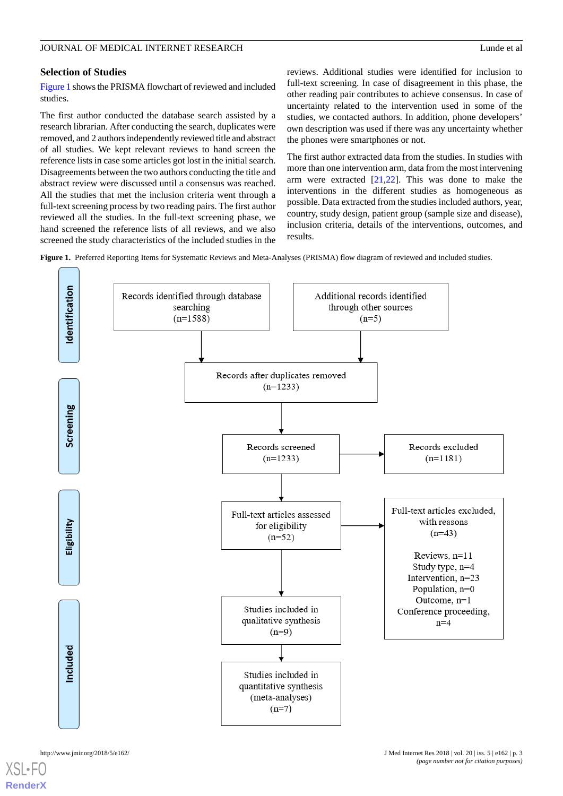## JOURNAL OF MEDICAL INTERNET RESEARCH Lunde et al

#### **Selection of Studies**

[Figure 1](#page-2-0) shows the PRISMA flowchart of reviewed and included studies.

The first author conducted the database search assisted by a research librarian. After conducting the search, duplicates were removed, and 2 authors independently reviewed title and abstract of all studies. We kept relevant reviews to hand screen the reference lists in case some articles got lost in the initial search. Disagreements between the two authors conducting the title and abstract review were discussed until a consensus was reached. All the studies that met the inclusion criteria went through a full-text screening process by two reading pairs. The first author reviewed all the studies. In the full-text screening phase, we hand screened the reference lists of all reviews, and we also screened the study characteristics of the included studies in the reviews. Additional studies were identified for inclusion to full-text screening. In case of disagreement in this phase, the other reading pair contributes to achieve consensus. In case of uncertainty related to the intervention used in some of the studies, we contacted authors. In addition, phone developers' own description was used if there was any uncertainty whether the phones were smartphones or not.

The first author extracted data from the studies. In studies with more than one intervention arm, data from the most intervening arm were extracted  $[21,22]$  $[21,22]$  $[21,22]$  $[21,22]$ . This was done to make the interventions in the different studies as homogeneous as possible. Data extracted from the studies included authors, year, country, study design, patient group (sample size and disease), inclusion criteria, details of the interventions, outcomes, and results.

<span id="page-2-0"></span>**Figure 1.** Preferred Reporting Items for Systematic Reviews and Meta-Analyses (PRISMA) flow diagram of reviewed and included studies.

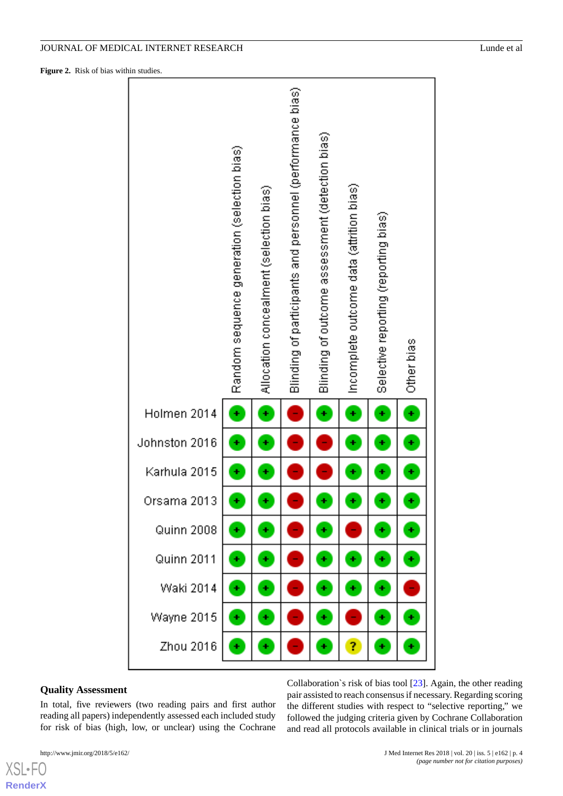<span id="page-3-0"></span>**Figure 2.** Risk of bias within studies.



#### **Quality Assessment**

In total, five reviewers (two reading pairs and first author reading all papers) independently assessed each included study for risk of bias (high, low, or unclear) using the Cochrane

[XSL](http://www.w3.org/Style/XSL)•FO **[RenderX](http://www.renderx.com/)** Collaboration`s risk of bias tool [\[23](#page-10-4)]. Again, the other reading pair assisted to reach consensus if necessary. Regarding scoring the different studies with respect to "selective reporting," we followed the judging criteria given by Cochrane Collaboration and read all protocols available in clinical trials or in journals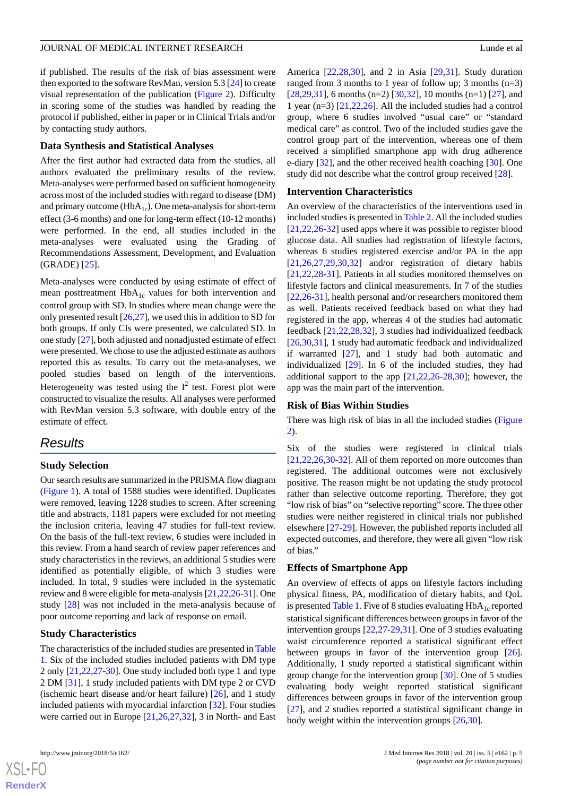if published. The results of the risk of bias assessment were then exported to the software RevMan, version 5.3 [[24](#page-10-5)] to create visual representation of the publication ([Figure 2](#page-3-0)). Difficulty in scoring some of the studies was handled by reading the protocol if published, either in paper or in Clinical Trials and/or by contacting study authors.

#### **Data Synthesis and Statistical Analyses**

After the first author had extracted data from the studies, all authors evaluated the preliminary results of the review. Meta-analyses were performed based on sufficient homogeneity across most of the included studies with regard to disease (DM) and primary outcome ( $HbA_{1c}$ ). One meta-analysis for short-term effect (3-6 months) and one for long-term effect (10-12 months) were performed. In the end, all studies included in the meta-analyses were evaluated using the Grading of Recommendations Assessment, Development, and Evaluation (GRADE) [\[25](#page-10-6)].

Meta-analyses were conducted by using estimate of effect of mean posttreatment  $HbA_{1c}$  values for both intervention and control group with SD. In studies where mean change were the only presented result  $[26,27]$  $[26,27]$  $[26,27]$ , we used this in addition to SD for both groups. If only CIs were presented, we calculated SD. In one study [[27\]](#page-10-8), both adjusted and nonadjusted estimate of effect were presented. We chose to use the adjusted estimate as authors reported this as results. To carry out the meta-analyses, we pooled studies based on length of the interventions. Heterogeneity was tested using the  $I^2$  test. Forest plot were constructed to visualize the results. All analyses were performed with RevMan version 5.3 software, with double entry of the estimate of effect.

# *Results*

#### **Study Selection**

Our search results are summarized in the PRISMA flow diagram ([Figure 1\)](#page-2-0). A total of 1588 studies were identified. Duplicates were removed, leaving 1228 studies to screen. After screening title and abstracts, 1181 papers were excluded for not meeting the inclusion criteria, leaving 47 studies for full-text review. On the basis of the full-text review, 6 studies were included in this review. From a hand search of review paper references and study characteristics in the reviews, an additional 5 studies were identified as potentially eligible, of which 3 studies were included. In total, 9 studies were included in the systematic review and 8 were eligible for meta-analysis [[21,](#page-10-2)[22](#page-10-3)[,26](#page-10-7)-[31](#page-10-9)]. One study [\[28](#page-10-10)] was not included in the meta-analysis because of poor outcome reporting and lack of response on email.

#### **Study Characteristics**

The characteristics of the included studies are presented in [Table](#page-5-0) [1.](#page-5-0) Six of the included studies included patients with DM type 2 only [[21,](#page-10-2)[22](#page-10-3)[,27](#page-10-8)-[30\]](#page-10-11). One study included both type 1 and type 2 DM [\[31](#page-10-9)], 1 study included patients with DM type 2 or CVD (ischemic heart disease and/or heart failure)  $[26]$  $[26]$ , and 1 study included patients with myocardial infarction [[32\]](#page-10-12). Four studies were carried out in Europe [[21](#page-10-2)[,26](#page-10-7),[27](#page-10-8)[,32](#page-10-12)], 3 in North- and East

 $XSI - F($ **[RenderX](http://www.renderx.com/)** America [[22](#page-10-3)[,28](#page-10-10),[30\]](#page-10-11), and 2 in Asia [[29,](#page-10-13)[31](#page-10-9)]. Study duration ranged from 3 months to 1 year of follow up; 3 months  $(n=3)$  $[28,29,31]$  $[28,29,31]$  $[28,29,31]$  $[28,29,31]$ , 6 months (n=2)  $[30,32]$  $[30,32]$  $[30,32]$ , 10 months (n=1)  $[27]$  $[27]$ , and 1 year (n=3) [\[21](#page-10-2),[22](#page-10-3)[,26](#page-10-7)]. All the included studies had a control group, where 6 studies involved "usual care" or "standard medical care" as control. Two of the included studies gave the control group part of the intervention, whereas one of them received a simplified smartphone app with drug adherence e-diary [\[32](#page-10-12)], and the other received health coaching [[30\]](#page-10-11). One study did not describe what the control group received [[28\]](#page-10-10).

#### **Intervention Characteristics**

An overview of the characteristics of the interventions used in included studies is presented in [Table 2](#page-6-0). All the included studies [[21,](#page-10-2)[22,](#page-10-3)[26](#page-10-7)[-32](#page-10-12)] used apps where it was possible to register blood glucose data. All studies had registration of lifestyle factors, whereas 6 studies registered exercise and/or PA in the app  $[21,26,27,29,30,32]$  $[21,26,27,29,30,32]$  $[21,26,27,29,30,32]$  $[21,26,27,29,30,32]$  $[21,26,27,29,30,32]$  $[21,26,27,29,30,32]$  $[21,26,27,29,30,32]$  $[21,26,27,29,30,32]$  and/or registration of dietary habits [[21,](#page-10-2)[22,](#page-10-3)[28](#page-10-10)[-31](#page-10-9)]. Patients in all studies monitored themselves on lifestyle factors and clinical measurements. In 7 of the studies [[22,](#page-10-3)[26-](#page-10-7)[31\]](#page-10-9), health personal and/or researchers monitored them as well. Patients received feedback based on what they had registered in the app, whereas 4 of the studies had automatic feedback [[21,](#page-10-2)[22](#page-10-3),[28,](#page-10-10)[32](#page-10-12)], 3 studies had individualized feedback [[26,](#page-10-7)[30,](#page-10-11)[31\]](#page-10-9), 1 study had automatic feedback and individualized if warranted [[27\]](#page-10-8), and 1 study had both automatic and individualized [[29\]](#page-10-13). In 6 of the included studies, they had additional support to the app  $[21,22,26-28,30]$  $[21,22,26-28,30]$  $[21,22,26-28,30]$  $[21,22,26-28,30]$  $[21,22,26-28,30]$  $[21,22,26-28,30]$  $[21,22,26-28,30]$ ; however, the app was the main part of the intervention.

#### **Risk of Bias Within Studies**

There was high risk of bias in all the included studies ([Figure](#page-3-0) [2\)](#page-3-0).

Six of the studies were registered in clinical trials [[21,](#page-10-2)[22,](#page-10-3)[26](#page-10-7)[,30](#page-10-11)-[32\]](#page-10-12). All of them reported on more outcomes than registered. The additional outcomes were not exclusively positive. The reason might be not updating the study protocol rather than selective outcome reporting. Therefore, they got "low risk of bias" on "selective reporting" score. The three other studies were neither registered in clinical trials nor published elsewhere [[27](#page-10-8)[-29](#page-10-13)]. However, the published reports included all expected outcomes, and therefore, they were all given "low risk of bias."

#### **Effects of Smartphone App**

An overview of effects of apps on lifestyle factors including physical fitness, PA, modification of dietary habits, and QoL is presented [Table 1](#page-5-0). Five of 8 studies evaluating  $HbA_{1c}$  reported statistical significant differences between groups in favor of the intervention groups [\[22](#page-10-3),[27-](#page-10-8)[29](#page-10-13),[31\]](#page-10-9). One of 3 studies evaluating waist circumference reported a statistical significant effect between groups in favor of the intervention group [[26\]](#page-10-7). Additionally, 1 study reported a statistical significant within group change for the intervention group [\[30](#page-10-11)]. One of 5 studies evaluating body weight reported statistical significant differences between groups in favor of the intervention group [[27\]](#page-10-8), and 2 studies reported a statistical significant change in body weight within the intervention groups [\[26](#page-10-7),[30\]](#page-10-11).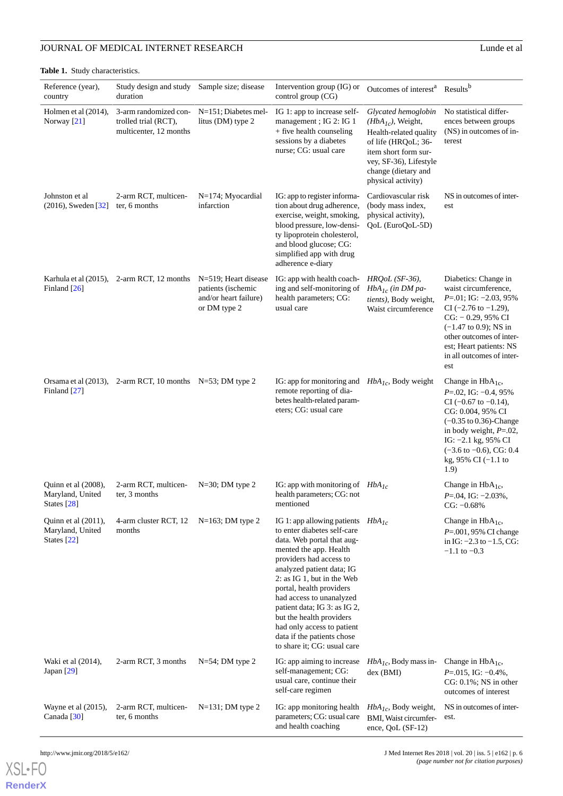# **JOURNAL OF MEDICAL INTERNET RESEARCH** Lunde et al

<span id="page-5-0"></span>**Table 1.** Study characteristics.

| Reference (year),<br>country                              | Study design and study<br>duration                                      | Sample size; disease                                                                | Intervention group (IG) or<br>control group (CG)                                                                                                                                                                                                                                                                                                                                                                        | Outcomes of interest <sup>a</sup>                                                                                                                                                          | Results <sup>b</sup>                                                                                                                                                                                                                                                         |
|-----------------------------------------------------------|-------------------------------------------------------------------------|-------------------------------------------------------------------------------------|-------------------------------------------------------------------------------------------------------------------------------------------------------------------------------------------------------------------------------------------------------------------------------------------------------------------------------------------------------------------------------------------------------------------------|--------------------------------------------------------------------------------------------------------------------------------------------------------------------------------------------|------------------------------------------------------------------------------------------------------------------------------------------------------------------------------------------------------------------------------------------------------------------------------|
| Holmen et al (2014),<br>Norway $[21]$                     | 3-arm randomized con-<br>trolled trial (RCT),<br>multicenter, 12 months | $N=151$ ; Diabetes mel-<br>litus (DM) type 2                                        | IG 1: app to increase self-<br>management; IG 2: IG 1<br>+ five health counseling<br>sessions by a diabetes<br>nurse; CG: usual care                                                                                                                                                                                                                                                                                    | Glycated hemoglobin<br>$(HbA1c)$ , Weight,<br>Health-related quality<br>of life (HROoL; 36-<br>item short form sur-<br>vey, SF-36), Lifestyle<br>change (dietary and<br>physical activity) | No statistical differ-<br>ences between groups<br>(NS) in outcomes of in-<br>terest                                                                                                                                                                                          |
| Johnston et al<br>$(2016)$ , Sweden [32]                  | 2-arm RCT, multicen-<br>ter, 6 months                                   | $N=174$ ; Myocardial<br>infarction                                                  | IG: app to register informa-<br>tion about drug adherence,<br>exercise, weight, smoking,<br>blood pressure, low-densi-<br>ty lipoprotein cholesterol,<br>and blood glucose; CG:<br>simplified app with drug<br>adherence e-diary                                                                                                                                                                                        | Cardiovascular risk<br>(body mass index,<br>physical activity),<br>QoL (EuroQoL-5D)                                                                                                        | NS in outcomes of inter-<br>est                                                                                                                                                                                                                                              |
| Finland $[26]$                                            | Karhula et al (2015), 2-arm RCT, 12 months                              | N=519; Heart disease<br>patients (ischemic<br>and/or heart failure)<br>or DM type 2 | IG: app with health coach-<br>ing and self-monitoring of<br>health parameters; CG:<br>usual care                                                                                                                                                                                                                                                                                                                        | $HRQoL$ (SF-36),<br>$HbA_{1c}$ (in DM pa-<br>tients), Body weight,<br>Waist circumference                                                                                                  | Diabetics: Change in<br>waist circumference,<br>$P = 01$ ; IG: $-2.03$ , 95%<br>$CI$ (-2.76 to -1.29),<br>$CG: -0.29, 95\% CI$<br>$(-1.47 \text{ to } 0.9)$ ; NS in<br>other outcomes of inter-<br>est; Heart patients: NS<br>in all outcomes of inter-<br>est               |
| Finland $[27]$                                            | Orsama et al (2013), 2-arm RCT, 10 months N=53; DM type 2               |                                                                                     | IG: app for monitoring and $HbA_{1c}$ , Body weight<br>remote reporting of dia-<br>betes health-related param-<br>eters; CG: usual care                                                                                                                                                                                                                                                                                 |                                                                                                                                                                                            | Change in $HbA_{1c}$ ,<br>$P = 02$ , IG: $-0.4$ , 95%<br>CI $(-0.67$ to $-0.14$ ),<br>CG: 0.004, 95% CI<br>$(-0.35 \text{ to } 0.36)$ -Change<br>in body weight, $P=.02$ ,<br>IG: $-2.1$ kg, 95% CI<br>$(-3.6 \text{ to } -0.6)$ , CG: 0.4<br>kg, 95% CI $(-1.1)$ to<br>1.9) |
| Quinn et al (2008),<br>Maryland, United<br>States $[28]$  | 2-arm RCT, multicen-<br>ter, 3 months                                   | N=30; DM type 2                                                                     | IG: app with monitoring of $HbA_{1c}$<br>health parameters; CG: not<br>mentioned                                                                                                                                                                                                                                                                                                                                        |                                                                                                                                                                                            | Change in $HbA_{1c}$ ,<br>$P = 0.04$ , IG: $-2.03\%$ ,<br>$CG: -0.68%$                                                                                                                                                                                                       |
| Quinn et al $(2011)$ ,<br>Maryland, United<br>States [22] | 4-arm cluster RCT, 12<br>months                                         | $N=163$ ; DM type 2                                                                 | IG 1: app allowing patients<br>to enter diabetes self-care<br>data. Web portal that aug-<br>mented the app. Health<br>providers had access to<br>analyzed patient data; IG<br>2: as IG 1, but in the Web<br>portal, health providers<br>had access to unanalyzed<br>patient data; IG 3: as IG 2,<br>but the health providers<br>had only access to patient<br>data if the patients chose<br>to share it; CG: usual care | $HbA_{1c}$                                                                                                                                                                                 | Change in $HbA_{1c}$ ,<br>P=.001, 95% CI change<br>in IG: $-2.3$ to $-1.5$ , CG:<br>$-1.1$ to $-0.3$                                                                                                                                                                         |
| Waki et al (2014),<br>Japan $[29]$                        | 2-arm RCT, 3 months                                                     | $N=54$ ; DM type 2                                                                  | IG: app aiming to increase<br>self-management; CG:<br>usual care, continue their<br>self-care regimen                                                                                                                                                                                                                                                                                                                   | $HbA_{1c}$ , Body mass in-<br>$dex$ (BMI)                                                                                                                                                  | Change in $HbA_{1c}$ ,<br>$P = 015$ , IG: $-0.4\%$ ,<br>$CG: 0.1\%$ ; NS in other<br>outcomes of interest                                                                                                                                                                    |
| Wayne et al $(2015)$ ,<br>Canada <sup>[30]</sup>          | 2-arm RCT, multicen-<br>ter, 6 months                                   | $N=131$ ; DM type 2                                                                 | IG: app monitoring health<br>parameters; CG: usual care<br>and health coaching                                                                                                                                                                                                                                                                                                                                          | $HbA_{Ic}$ , Body weight,<br>BMI, Waist circumfer-<br>ence, QoL $(SF-12)$                                                                                                                  | NS in outcomes of inter-<br>est.                                                                                                                                                                                                                                             |

[XSL](http://www.w3.org/Style/XSL)•FO **[RenderX](http://www.renderx.com/)**

http://www.jmir.org/2018/5/e162/ J Med Internet Res 2018 | vol. 20 | iss. 5 | e162 | p. 6 *(page number not for citation purposes)*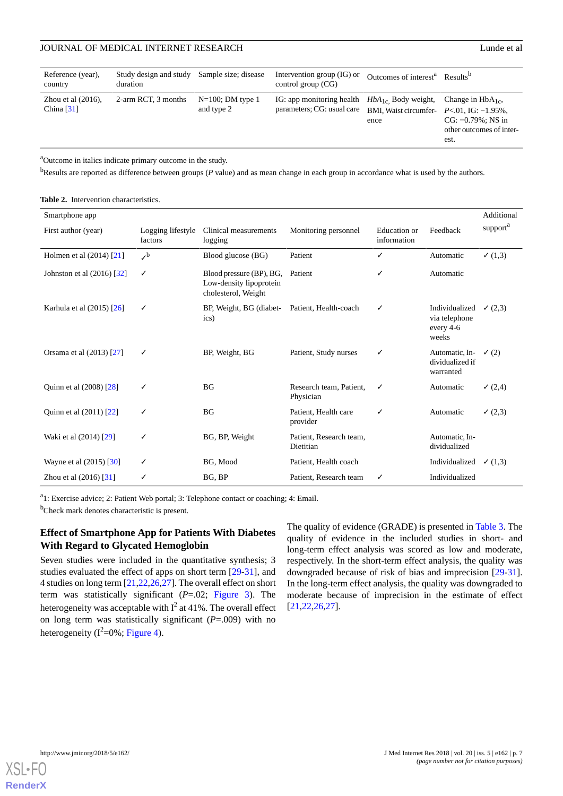| Reference (year),<br>country          | Study design and study<br>duration | Sample size; disease              | Intervention group $(IG)$ or<br>control group $(CG)$    | Outcomes of interest <sup>a</sup> Results <sup>b</sup>                             |                                                                                     |
|---------------------------------------|------------------------------------|-----------------------------------|---------------------------------------------------------|------------------------------------------------------------------------------------|-------------------------------------------------------------------------------------|
| Zhou et al $(2016)$ ,<br>China $[31]$ | 2-arm RCT, 3 months                | $N=100$ ; DM type 1<br>and type 2 | IG: app monitoring health<br>parameters; CG: usual care | $HbA_{1c}$ Body weight,<br>BMI, Waist circumfer- $P<.01$ , IG: $-1.95\%$ ,<br>ence | Change in $HbA_{1c}$ ,<br>$CG: -0.79\%$ ; NS in<br>other outcomes of inter-<br>est. |

<sup>a</sup>Outcome in italics indicate primary outcome in the study.

<span id="page-6-0"></span><sup>b</sup>Results are reported as difference between groups (*P* value) and as mean change in each group in accordance what is used by the authors.

**Table 2.** Intervention characteristics.

| Smartphone app               |                              |                                                                            |                                      |                             |                                                       | Additional                  |
|------------------------------|------------------------------|----------------------------------------------------------------------------|--------------------------------------|-----------------------------|-------------------------------------------------------|-----------------------------|
| First author (year)          | Logging lifestyle<br>factors | Clinical measurements<br>logging                                           | Monitoring personnel                 | Education or<br>information | Feedback                                              | $\text{support}^{\text{a}}$ |
| Holmen et al (2014) [21]     | $\mathcal{S}^{\rm b}$        | Blood glucose (BG)                                                         | Patient                              | ✓                           | Automatic                                             | $\checkmark$ (1,3)          |
| Johnston et al $(2016)$ [32] | ✓                            | Blood pressure (BP), BG,<br>Low-density lipoprotein<br>cholesterol, Weight | Patient                              | ✓                           | Automatic                                             |                             |
| Karhula et al (2015) [26]    | ✓                            | BP, Weight, BG (diabet-<br>ics)                                            | Patient, Health-coach                | ✓                           | Individualized<br>via telephone<br>every 4-6<br>weeks | (2,3)                       |
| Orsama et al (2013) [27]     | ✓                            | BP, Weight, BG                                                             | Patient, Study nurses                | ✓                           | Automatic, In-<br>dividualized if<br>warranted        | $\checkmark$ (2)            |
| Quinn et al (2008) [28]      |                              | <b>BG</b>                                                                  | Research team, Patient.<br>Physician | ✓                           | Automatic                                             | (2,4)                       |
| Quinn et al (2011) [22]      | ✓                            | BG                                                                         | Patient, Health care<br>provider     | ✓                           | Automatic                                             | (2,3)                       |
| Waki et al (2014) [29]       | ✓                            | BG, BP, Weight                                                             | Patient, Research team,<br>Dietitian |                             | Automatic, In-<br>dividualized                        |                             |
| Wayne et al (2015) [30]      | ✓                            | BG, Mood                                                                   | Patient, Health coach                |                             | Individualized                                        | $\checkmark$ (1,3)          |
| Zhou et al (2016) [31]       | ✓                            | BG, BP                                                                     | Patient, Research team               | ✓                           | Individualized                                        |                             |

<sup>a</sup>1: Exercise advice; 2: Patient Web portal; 3: Telephone contact or coaching; 4: Email.

<sup>b</sup>Check mark denotes characteristic is present.

## **Effect of Smartphone App for Patients With Diabetes With Regard to Glycated Hemoglobin**

Seven studies were included in the quantitative synthesis; 3 studies evaluated the effect of apps on short term [\[29](#page-10-13)-[31\]](#page-10-9), and 4 studies on long term [\[21](#page-10-2)[,22](#page-10-3),[26](#page-10-7)[,27](#page-10-8)]. The overall effect on short term was statistically significant (*P*=.02; [Figure 3\)](#page-7-0). The heterogeneity was acceptable with  $I^2$  at 41%. The overall effect on long term was statistically significant (*P*=.009) with no heterogeneity ( $I^2$ =0%; [Figure 4\)](#page-7-1).

The quality of evidence (GRADE) is presented in [Table 3](#page-7-2). The quality of evidence in the included studies in short- and long-term effect analysis was scored as low and moderate, respectively. In the short-term effect analysis, the quality was downgraded because of risk of bias and imprecision [[29-](#page-10-13)[31\]](#page-10-9). In the long-term effect analysis, the quality was downgraded to moderate because of imprecision in the estimate of effect [[21,](#page-10-2)[22,](#page-10-3)[26](#page-10-7)[,27](#page-10-8)].

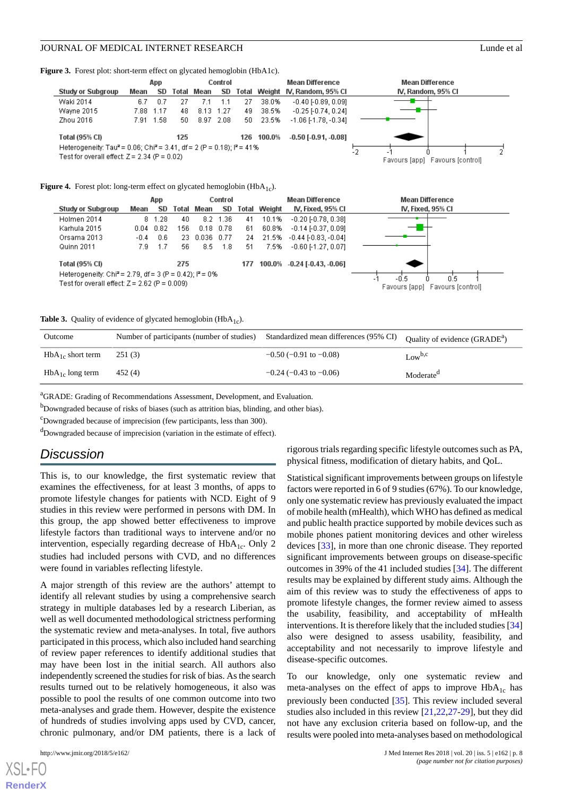<span id="page-7-0"></span>Figure 3. Forest plot: short-term effect on glycated hemoglobin (HbA1c).



<span id="page-7-1"></span>**Figure 4.** Forest plot: long-term effect on glycated hemoglobin ( $HbA_{1c}$ ).



<span id="page-7-2"></span>**Table 3.** Quality of evidence of glycated hemoglobin (HbA<sub>1c</sub>).

| Outcome               | Number of participants (number of studies) | Standardized mean differences (95% CI) | Quality of evidence (GRADE <sup>a</sup> ) |
|-----------------------|--------------------------------------------|----------------------------------------|-------------------------------------------|
| $HbA_{1c}$ short term | 251 (3)                                    | $-0.50$ ( $-0.91$ to $-0.08$ )         | Low <sup>b,c</sup>                        |
| $HbA_{1c}$ long term  | 452(4)                                     | $-0.24$ ( $-0.43$ to $-0.06$ )         | Moderate <sup>d</sup>                     |

<sup>a</sup>GRADE: Grading of Recommendations Assessment, Development, and Evaluation.

<sup>b</sup>Downgraded because of risks of biases (such as attrition bias, blinding, and other bias).

<sup>c</sup>Downgraded because of imprecision (few participants, less than 300).

<sup>d</sup>Downgraded because of imprecision (variation in the estimate of effect).

# *Discussion*

This is, to our knowledge, the first systematic review that examines the effectiveness, for at least 3 months, of apps to promote lifestyle changes for patients with NCD. Eight of 9 studies in this review were performed in persons with DM. In this group, the app showed better effectiveness to improve lifestyle factors than traditional ways to intervene and/or no intervention, especially regarding decrease of  $HbA<sub>1c</sub>$ . Only 2 studies had included persons with CVD, and no differences were found in variables reflecting lifestyle.

A major strength of this review are the authors' attempt to identify all relevant studies by using a comprehensive search strategy in multiple databases led by a research Liberian, as well as well documented methodological strictness performing the systematic review and meta-analyses. In total, five authors participated in this process, which also included hand searching of review paper references to identify additional studies that may have been lost in the initial search. All authors also independently screened the studies for risk of bias. As the search results turned out to be relatively homogeneous, it also was possible to pool the results of one common outcome into two meta-analyses and grade them. However, despite the existence of hundreds of studies involving apps used by CVD, cancer, chronic pulmonary, and/or DM patients, there is a lack of

[XSL](http://www.w3.org/Style/XSL)•FO **[RenderX](http://www.renderx.com/)**

rigorous trials regarding specific lifestyle outcomes such as PA, physical fitness, modification of dietary habits, and QoL.

Statistical significant improvements between groups on lifestyle factors were reported in 6 of 9 studies (67%). To our knowledge, only one systematic review has previously evaluated the impact of mobile health (mHealth), which WHO has defined as medical and public health practice supported by mobile devices such as mobile phones patient monitoring devices and other wireless devices [[33\]](#page-10-14), in more than one chronic disease. They reported significant improvements between groups on disease-specific outcomes in 39% of the 41 included studies [[34\]](#page-10-15). The different results may be explained by different study aims. Although the aim of this review was to study the effectiveness of apps to promote lifestyle changes, the former review aimed to assess the usability, feasibility, and acceptability of mHealth interventions. It is therefore likely that the included studies [[34](#page-10-15)] also were designed to assess usability, feasibility, and acceptability and not necessarily to improve lifestyle and disease-specific outcomes.

To our knowledge, only one systematic review and meta-analyses on the effect of apps to improve  $HbA_{1c}$  has previously been conducted [[35\]](#page-10-16). This review included several studies also included in this review [[21](#page-10-2)[,22](#page-10-3),[27](#page-10-8)[-29](#page-10-13)], but they did not have any exclusion criteria based on follow-up, and the results were pooled into meta-analyses based on methodological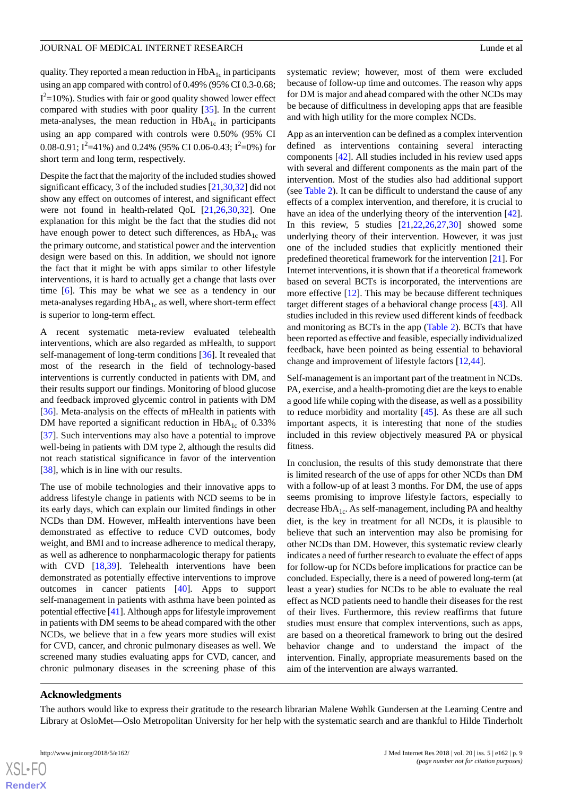quality. They reported a mean reduction in  $HbA_{1c}$  in participants using an app compared with control of 0.49% (95% CI 0.3-0.68;  $I^2$ =10%). Studies with fair or good quality showed lower effect compared with studies with poor quality [\[35](#page-10-16)]. In the current meta-analyses, the mean reduction in  $HbA_{1c}$  in participants using an app compared with controls were 0.50% (95% CI 0.08-0.91; I<sup>2</sup>=41%) and 0.24% (95% CI 0.06-0.43; I<sup>2</sup>=0%) for short term and long term, respectively.

Despite the fact that the majority of the included studies showed significant efficacy, 3 of the included studies [[21,](#page-10-2)[30](#page-10-11),[32\]](#page-10-12) did not show any effect on outcomes of interest, and significant effect were not found in health-related QoL [\[21](#page-10-2),[26,](#page-10-7)[30](#page-10-11),[32\]](#page-10-12). One explanation for this might be the fact that the studies did not have enough power to detect such differences, as HbA<sub>1c</sub> was the primary outcome, and statistical power and the intervention design were based on this. In addition, we should not ignore the fact that it might be with apps similar to other lifestyle interventions, it is hard to actually get a change that lasts over time [\[6\]](#page-9-3). This may be what we see as a tendency in our meta-analyses regarding  $HbA_{1c}$  as well, where short-term effect is superior to long-term effect.

A recent systematic meta-review evaluated telehealth interventions, which are also regarded as mHealth, to support self-management of long-term conditions [[36\]](#page-10-17). It revealed that most of the research in the field of technology-based interventions is currently conducted in patients with DM, and their results support our findings. Monitoring of blood glucose and feedback improved glycemic control in patients with DM [[36\]](#page-10-17). Meta-analysis on the effects of mHealth in patients with DM have reported a significant reduction in  $HbA_{1c}$  of 0.33% [[37\]](#page-10-18). Such interventions may also have a potential to improve well-being in patients with DM type 2, although the results did not reach statistical significance in favor of the intervention [[38\]](#page-10-19), which is in line with our results.

The use of mobile technologies and their innovative apps to address lifestyle change in patients with NCD seems to be in its early days, which can explain our limited findings in other NCDs than DM. However, mHealth interventions have been demonstrated as effective to reduce CVD outcomes, body weight, and BMI and to increase adherence to medical therapy, as well as adherence to nonpharmacologic therapy for patients with CVD [[18,](#page-9-12)[39](#page-11-0)]. Telehealth interventions have been demonstrated as potentially effective interventions to improve outcomes in cancer patients [[40\]](#page-11-1). Apps to support self-management in patients with asthma have been pointed as potential effective [\[41\]](#page-11-2). Although apps for lifestyle improvement in patients with DM seems to be ahead compared with the other NCDs, we believe that in a few years more studies will exist for CVD, cancer, and chronic pulmonary diseases as well. We screened many studies evaluating apps for CVD, cancer, and chronic pulmonary diseases in the screening phase of this

systematic review; however, most of them were excluded because of follow-up time and outcomes. The reason why apps for DM is major and ahead compared with the other NCDs may be because of difficultness in developing apps that are feasible and with high utility for the more complex NCDs.

App as an intervention can be defined as a complex intervention defined as interventions containing several interacting components [[42\]](#page-11-3). All studies included in his review used apps with several and different components as the main part of the intervention. Most of the studies also had additional support (see [Table 2\)](#page-6-0). It can be difficult to understand the cause of any effects of a complex intervention, and therefore, it is crucial to have an idea of the underlying theory of the intervention [[42\]](#page-11-3). In this review, 5 studies  $[21, 22, 26, 27, 30]$  $[21, 22, 26, 27, 30]$  $[21, 22, 26, 27, 30]$  $[21, 22, 26, 27, 30]$  $[21, 22, 26, 27, 30]$  $[21, 22, 26, 27, 30]$  $[21, 22, 26, 27, 30]$  $[21, 22, 26, 27, 30]$  $[21, 22, 26, 27, 30]$  $[21, 22, 26, 27, 30]$  showed some underlying theory of their intervention. However, it was just one of the included studies that explicitly mentioned their predefined theoretical framework for the intervention [[21\]](#page-10-2). For Internet interventions, it is shown that if a theoretical framework based on several BCTs is incorporated, the interventions are more effective [\[12](#page-9-7)]. This may be because different techniques target different stages of a behavioral change process [[43\]](#page-11-4). All studies included in this review used different kinds of feedback and monitoring as BCTs in the app ([Table 2\)](#page-6-0). BCTs that have been reported as effective and feasible, especially individualized feedback, have been pointed as being essential to behavioral change and improvement of lifestyle factors [\[12](#page-9-7),[44\]](#page-11-5).

Self-management is an important part of the treatment in NCDs. PA, exercise, and a health-promoting diet are the keys to enable a good life while coping with the disease, as well as a possibility to reduce morbidity and mortality [\[45](#page-11-6)]. As these are all such important aspects, it is interesting that none of the studies included in this review objectively measured PA or physical fitness.

In conclusion, the results of this study demonstrate that there is limited research of the use of apps for other NCDs than DM with a follow-up of at least 3 months. For DM, the use of apps seems promising to improve lifestyle factors, especially to decrease  $HbA_{1c}$ . As self-management, including PA and healthy diet, is the key in treatment for all NCDs, it is plausible to believe that such an intervention may also be promising for other NCDs than DM. However, this systematic review clearly indicates a need of further research to evaluate the effect of apps for follow-up for NCDs before implications for practice can be concluded. Especially, there is a need of powered long-term (at least a year) studies for NCDs to be able to evaluate the real effect as NCD patients need to handle their diseases for the rest of their lives. Furthermore, this review reaffirms that future studies must ensure that complex interventions, such as apps, are based on a theoretical framework to bring out the desired behavior change and to understand the impact of the intervention. Finally, appropriate measurements based on the aim of the intervention are always warranted.

#### **Acknowledgments**

The authors would like to express their gratitude to the research librarian Malene Wøhlk Gundersen at the Learning Centre and Library at OsloMet—Oslo Metropolitan University for her help with the systematic search and are thankful to Hilde Tinderholt

 $XS$ -FO **[RenderX](http://www.renderx.com/)**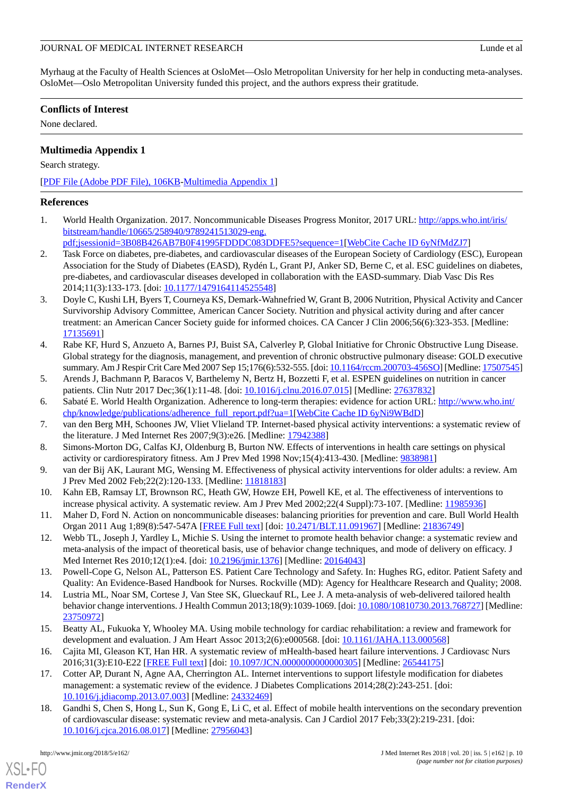Myrhaug at the Faculty of Health Sciences at OsloMet—Oslo Metropolitan University for her help in conducting meta-analyses. OsloMet—Oslo Metropolitan University funded this project, and the authors express their gratitude.

# **Conflicts of Interest**

<span id="page-9-11"></span>None declared.

# **Multimedia Appendix 1**

Search strategy.

[[PDF File \(Adobe PDF File\), 106KB-Multimedia Appendix 1](https://jmir.org/api/download?alt_name=jmir_v20i5e162_app1.pdf&filename=9f17c4691bb0ce288cc985ba0b82f650.pdf)]

## <span id="page-9-0"></span>**References**

<span id="page-9-1"></span>1. World Health Organization. 2017. Noncommunicable Diseases Progress Monitor, 2017 URL: [http://apps.who.int/iris/](http://apps.who.int/iris/bitstream/handle/10665/258940/9789241513029-eng.pdf;jsessionid=3B08B426AB7B0F41995FDDDC083DDFE5?sequence=1) [bitstream/handle/10665/258940/9789241513029-eng.](http://apps.who.int/iris/bitstream/handle/10665/258940/9789241513029-eng.pdf;jsessionid=3B08B426AB7B0F41995FDDDC083DDFE5?sequence=1)

[pdf;jsessionid=3B08B426AB7B0F41995FDDDC083DDFE5?sequence=1](http://apps.who.int/iris/bitstream/handle/10665/258940/9789241513029-eng.pdf;jsessionid=3B08B426AB7B0F41995FDDDC083DDFE5?sequence=1)[\[WebCite Cache ID 6yNfMdZJ7](http://www.webcitation.org/

                                6yNfMdZJ7)]

- 2. Task Force on diabetes, pre-diabetes, and cardiovascular diseases of the European Society of Cardiology (ESC), European Association for the Study of Diabetes (EASD), Rydén L, Grant PJ, Anker SD, Berne C, et al. ESC guidelines on diabetes, pre-diabetes, and cardiovascular diseases developed in collaboration with the EASD-summary. Diab Vasc Dis Res 2014;11(3):133-173. [doi: [10.1177/1479164114525548\]](http://dx.doi.org/10.1177/1479164114525548)
- 3. Doyle C, Kushi LH, Byers T, Courneya KS, Demark-Wahnefried W, Grant B, 2006 Nutrition, Physical Activity and Cancer Survivorship Advisory Committee, American Cancer Society. Nutrition and physical activity during and after cancer treatment: an American Cancer Society guide for informed choices. CA Cancer J Clin 2006;56(6):323-353. [Medline: [17135691](http://www.ncbi.nlm.nih.gov/entrez/query.fcgi?cmd=Retrieve&db=PubMed&list_uids=17135691&dopt=Abstract)]
- <span id="page-9-2"></span>4. Rabe KF, Hurd S, Anzueto A, Barnes PJ, Buist SA, Calverley P, Global Initiative for Chronic Obstructive Lung Disease. Global strategy for the diagnosis, management, and prevention of chronic obstructive pulmonary disease: GOLD executive summary. Am J Respir Crit Care Med 2007 Sep 15;176(6):532-555. [doi: [10.1164/rccm.200703-456SO](http://dx.doi.org/10.1164/rccm.200703-456SO)] [Medline: [17507545\]](http://www.ncbi.nlm.nih.gov/entrez/query.fcgi?cmd=Retrieve&db=PubMed&list_uids=17507545&dopt=Abstract)
- <span id="page-9-4"></span><span id="page-9-3"></span>5. Arends J, Bachmann P, Baracos V, Barthelemy N, Bertz H, Bozzetti F, et al. ESPEN guidelines on nutrition in cancer patients. Clin Nutr 2017 Dec;36(1):11-48. [doi: [10.1016/j.clnu.2016.07.015](http://dx.doi.org/10.1016/j.clnu.2016.07.015)] [Medline: [27637832\]](http://www.ncbi.nlm.nih.gov/entrez/query.fcgi?cmd=Retrieve&db=PubMed&list_uids=27637832&dopt=Abstract)
- 6. Sabaté E. World Health Organization. Adherence to long-term therapies: evidence for action URL: [http://www.who.int/](http://www.who.int/chp/knowledge/publications/adherence_full_report.pdf?ua=1) [chp/knowledge/publications/adherence\\_full\\_report.pdf?ua=1](http://www.who.int/chp/knowledge/publications/adherence_full_report.pdf?ua=1)[[WebCite Cache ID 6yNi9WBdD\]](http://www.webcitation.org/

                                6yNi9WBdD)
- 7. van den Berg MH, Schoones JW, Vliet Vlieland TP. Internet-based physical activity interventions: a systematic review of the literature. J Med Internet Res 2007;9(3):e26. [Medline: [17942388](http://www.ncbi.nlm.nih.gov/entrez/query.fcgi?cmd=Retrieve&db=PubMed&list_uids=17942388&dopt=Abstract)]
- <span id="page-9-5"></span>8. Simons-Morton DG, Calfas KJ, Oldenburg B, Burton NW. Effects of interventions in health care settings on physical activity or cardiorespiratory fitness. Am J Prev Med 1998 Nov;15(4):413-430. [Medline: [9838981\]](http://www.ncbi.nlm.nih.gov/entrez/query.fcgi?cmd=Retrieve&db=PubMed&list_uids=9838981&dopt=Abstract)
- <span id="page-9-6"></span>9. van der Bij AK, Laurant MG, Wensing M. Effectiveness of physical activity interventions for older adults: a review. Am J Prev Med 2002 Feb;22(2):120-133. [Medline: [11818183](http://www.ncbi.nlm.nih.gov/entrez/query.fcgi?cmd=Retrieve&db=PubMed&list_uids=11818183&dopt=Abstract)]
- <span id="page-9-7"></span>10. Kahn EB, Ramsay LT, Brownson RC, Heath GW, Howze EH, Powell KE, et al. The effectiveness of interventions to increase physical activity. A systematic review. Am J Prev Med 2002;22(4 Suppl):73-107. [Medline: [11985936\]](http://www.ncbi.nlm.nih.gov/entrez/query.fcgi?cmd=Retrieve&db=PubMed&list_uids=11985936&dopt=Abstract)
- <span id="page-9-8"></span>11. Maher D, Ford N. Action on noncommunicable diseases: balancing priorities for prevention and care. Bull World Health Organ 2011 Aug 1;89(8):547-547A [[FREE Full text](http://www.scielosp.org/scielo.php?script=sci_arttext&pid=BLT.11.091967&lng=en&nrm=iso&tlng=en)] [doi: [10.2471/BLT.11.091967\]](http://dx.doi.org/10.2471/BLT.11.091967) [Medline: [21836749\]](http://www.ncbi.nlm.nih.gov/entrez/query.fcgi?cmd=Retrieve&db=PubMed&list_uids=21836749&dopt=Abstract)
- <span id="page-9-9"></span>12. Webb TL, Joseph J, Yardley L, Michie S. Using the internet to promote health behavior change: a systematic review and meta-analysis of the impact of theoretical basis, use of behavior change techniques, and mode of delivery on efficacy. J Med Internet Res 2010;12(1):e4. [doi: [10.2196/jmir.1376](http://dx.doi.org/10.2196/jmir.1376)] [Medline: [20164043](http://www.ncbi.nlm.nih.gov/entrez/query.fcgi?cmd=Retrieve&db=PubMed&list_uids=20164043&dopt=Abstract)]
- <span id="page-9-10"></span>13. Powell-Cope G, Nelson AL, Patterson ES. Patient Care Technology and Safety. In: Hughes RG, editor. Patient Safety and Quality: An Evidence-Based Handbook for Nurses. Rockville (MD): Agency for Healthcare Research and Quality; 2008.
- 14. Lustria ML, Noar SM, Cortese J, Van Stee SK, Glueckauf RL, Lee J. A meta-analysis of web-delivered tailored health behavior change interventions. J Health Commun 2013;18(9):1039-1069. [doi: [10.1080/10810730.2013.768727](http://dx.doi.org/10.1080/10810730.2013.768727)] [Medline: [23750972](http://www.ncbi.nlm.nih.gov/entrez/query.fcgi?cmd=Retrieve&db=PubMed&list_uids=23750972&dopt=Abstract)]
- <span id="page-9-12"></span>15. Beatty AL, Fukuoka Y, Whooley MA. Using mobile technology for cardiac rehabilitation: a review and framework for development and evaluation. J Am Heart Assoc 2013;2(6):e000568. [doi: [10.1161/JAHA.113.000568](http://dx.doi.org/10.1161/JAHA.113.000568)]
- 16. Cajita MI, Gleason KT, Han HR. A systematic review of mHealth-based heart failure interventions. J Cardiovasc Nurs 2016;31(3):E10-E22 [\[FREE Full text\]](http://europepmc.org/abstract/MED/26544175) [doi: [10.1097/JCN.0000000000000305](http://dx.doi.org/10.1097/JCN.0000000000000305)] [Medline: [26544175](http://www.ncbi.nlm.nih.gov/entrez/query.fcgi?cmd=Retrieve&db=PubMed&list_uids=26544175&dopt=Abstract)]
- 17. Cotter AP, Durant N, Agne AA, Cherrington AL. Internet interventions to support lifestyle modification for diabetes management: a systematic review of the evidence. J Diabetes Complications 2014;28(2):243-251. [doi: [10.1016/j.jdiacomp.2013.07.003\]](http://dx.doi.org/10.1016/j.jdiacomp.2013.07.003) [Medline: [24332469\]](http://www.ncbi.nlm.nih.gov/entrez/query.fcgi?cmd=Retrieve&db=PubMed&list_uids=24332469&dopt=Abstract)
- 18. Gandhi S, Chen S, Hong L, Sun K, Gong E, Li C, et al. Effect of mobile health interventions on the secondary prevention of cardiovascular disease: systematic review and meta-analysis. Can J Cardiol 2017 Feb;33(2):219-231. [doi: [10.1016/j.cjca.2016.08.017\]](http://dx.doi.org/10.1016/j.cjca.2016.08.017) [Medline: [27956043\]](http://www.ncbi.nlm.nih.gov/entrez/query.fcgi?cmd=Retrieve&db=PubMed&list_uids=27956043&dopt=Abstract)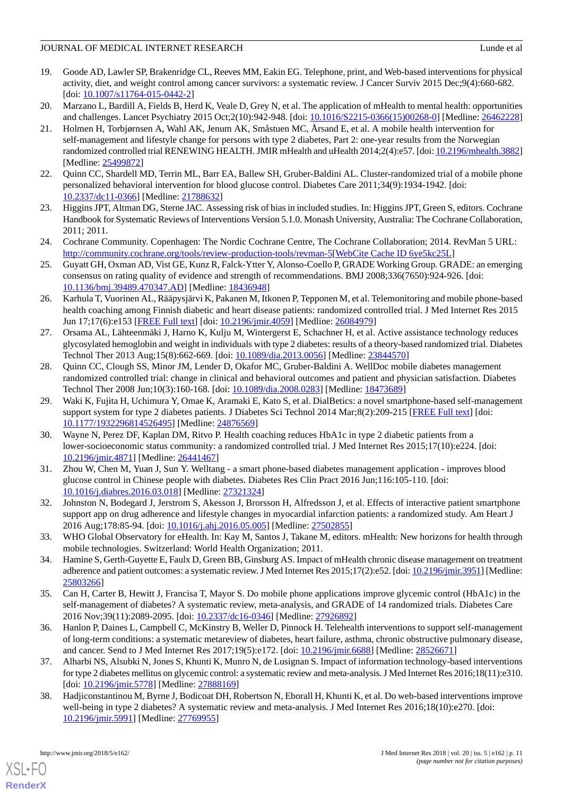- <span id="page-10-0"></span>19. Goode AD, Lawler SP, Brakenridge CL, Reeves MM, Eakin EG. Telephone, print, and Web-based interventions for physical activity, diet, and weight control among cancer survivors: a systematic review. J Cancer Surviv 2015 Dec;9(4):660-682.  $[doi: 10.1007/s11764-015-0442-2]$  $[doi: 10.1007/s11764-015-0442-2]$  $[doi: 10.1007/s11764-015-0442-2]$
- <span id="page-10-2"></span><span id="page-10-1"></span>20. Marzano L, Bardill A, Fields B, Herd K, Veale D, Grey N, et al. The application of mHealth to mental health: opportunities and challenges. Lancet Psychiatry 2015 Oct;2(10):942-948. [doi: [10.1016/S2215-0366\(15\)00268-0\]](http://dx.doi.org/10.1016/S2215-0366(15)00268-0) [Medline: [26462228](http://www.ncbi.nlm.nih.gov/entrez/query.fcgi?cmd=Retrieve&db=PubMed&list_uids=26462228&dopt=Abstract)]
- 21. Holmen H, Torbjørnsen A, Wahl AK, Jenum AK, Småstuen MC, Årsand E, et al. A mobile health intervention for self-management and lifestyle change for persons with type 2 diabetes, Part 2: one-year results from the Norwegian randomized controlled trial RENEWING HEALTH. JMIR mHealth and uHealth 2014;2(4):e57. [doi: [10.2196/mhealth.3882\]](http://dx.doi.org/10.2196/mhealth.3882) [Medline: [25499872](http://www.ncbi.nlm.nih.gov/entrez/query.fcgi?cmd=Retrieve&db=PubMed&list_uids=25499872&dopt=Abstract)]
- <span id="page-10-4"></span><span id="page-10-3"></span>22. Quinn CC, Shardell MD, Terrin ML, Barr EA, Ballew SH, Gruber-Baldini AL. Cluster-randomized trial of a mobile phone personalized behavioral intervention for blood glucose control. Diabetes Care 2011;34(9):1934-1942. [doi: [10.2337/dc11-0366\]](http://dx.doi.org/10.2337/dc11-0366) [Medline: [21788632](http://www.ncbi.nlm.nih.gov/entrez/query.fcgi?cmd=Retrieve&db=PubMed&list_uids=21788632&dopt=Abstract)]
- <span id="page-10-5"></span>23. Higgins JPT, Altman DG, Sterne JAC. Assessing risk of bias in included studies. In: Higgins JPT, Green S, editors. Cochrane Handbook for Systematic Reviews of Interventions Version 5.1.0. Monash University, Australia: The Cochrane Collaboration, 2011; 2011.
- <span id="page-10-6"></span>24. Cochrane Community. Copenhagen: The Nordic Cochrane Centre, The Cochrane Collaboration; 2014. RevMan 5 URL: [http://community.cochrane.org/tools/review-production-tools/revman-5\[](http://community.cochrane.org/tools/review-production-tools/revman-5)[WebCite Cache ID 6ye5kc25L\]](http://www.webcitation.org/

                                6ye5kc25L)
- <span id="page-10-7"></span>25. Guyatt GH, Oxman AD, Vist GE, Kunz R, Falck-Ytter Y, Alonso-Coello P, GRADE Working Group. GRADE: an emerging consensus on rating quality of evidence and strength of recommendations. BMJ 2008;336(7650):924-926. [doi: [10.1136/bmj.39489.470347.AD](http://dx.doi.org/10.1136/bmj.39489.470347.AD)] [Medline: [18436948](http://www.ncbi.nlm.nih.gov/entrez/query.fcgi?cmd=Retrieve&db=PubMed&list_uids=18436948&dopt=Abstract)]
- <span id="page-10-8"></span>26. Karhula T, Vuorinen AL, Rääpysjärvi K, Pakanen M, Itkonen P, Tepponen M, et al. Telemonitoring and mobile phone-based health coaching among Finnish diabetic and heart disease patients: randomized controlled trial. J Med Internet Res 2015 Jun 17;17(6):e153 [\[FREE Full text\]](http://www.jmir.org/2015/6/e153/) [doi: [10.2196/jmir.4059\]](http://dx.doi.org/10.2196/jmir.4059) [Medline: [26084979\]](http://www.ncbi.nlm.nih.gov/entrez/query.fcgi?cmd=Retrieve&db=PubMed&list_uids=26084979&dopt=Abstract)
- <span id="page-10-10"></span>27. Orsama AL, Lähteenmäki J, Harno K, Kulju M, Wintergerst E, Schachner H, et al. Active assistance technology reduces glycosylated hemoglobin and weight in individuals with type 2 diabetes: results of a theory-based randomized trial. Diabetes Technol Ther 2013 Aug;15(8):662-669. [doi: [10.1089/dia.2013.0056\]](http://dx.doi.org/10.1089/dia.2013.0056) [Medline: [23844570](http://www.ncbi.nlm.nih.gov/entrez/query.fcgi?cmd=Retrieve&db=PubMed&list_uids=23844570&dopt=Abstract)]
- <span id="page-10-13"></span>28. Quinn CC, Clough SS, Minor JM, Lender D, Okafor MC, Gruber-Baldini A. WellDoc mobile diabetes management randomized controlled trial: change in clinical and behavioral outcomes and patient and physician satisfaction. Diabetes Technol Ther 2008 Jun;10(3):160-168. [doi: [10.1089/dia.2008.0283](http://dx.doi.org/10.1089/dia.2008.0283)] [Medline: [18473689](http://www.ncbi.nlm.nih.gov/entrez/query.fcgi?cmd=Retrieve&db=PubMed&list_uids=18473689&dopt=Abstract)]
- <span id="page-10-11"></span>29. Waki K, Fujita H, Uchimura Y, Omae K, Aramaki E, Kato S, et al. DialBetics: a novel smartphone-based self-management support system for type 2 diabetes patients. J Diabetes Sci Technol 2014 Mar;8(2):209-215 [\[FREE Full text\]](http://europepmc.org/abstract/MED/24876569) [doi: [10.1177/1932296814526495\]](http://dx.doi.org/10.1177/1932296814526495) [Medline: [24876569\]](http://www.ncbi.nlm.nih.gov/entrez/query.fcgi?cmd=Retrieve&db=PubMed&list_uids=24876569&dopt=Abstract)
- <span id="page-10-9"></span>30. Wayne N, Perez DF, Kaplan DM, Ritvo P. Health coaching reduces HbA1c in type 2 diabetic patients from a lower-socioeconomic status community: a randomized controlled trial. J Med Internet Res 2015;17(10):e224. [doi: [10.2196/jmir.4871](http://dx.doi.org/10.2196/jmir.4871)] [Medline: [26441467](http://www.ncbi.nlm.nih.gov/entrez/query.fcgi?cmd=Retrieve&db=PubMed&list_uids=26441467&dopt=Abstract)]
- <span id="page-10-14"></span><span id="page-10-12"></span>31. Zhou W, Chen M, Yuan J, Sun Y. Welltang - a smart phone-based diabetes management application - improves blood glucose control in Chinese people with diabetes. Diabetes Res Clin Pract 2016 Jun;116:105-110. [doi: [10.1016/j.diabres.2016.03.018](http://dx.doi.org/10.1016/j.diabres.2016.03.018)] [Medline: [27321324](http://www.ncbi.nlm.nih.gov/entrez/query.fcgi?cmd=Retrieve&db=PubMed&list_uids=27321324&dopt=Abstract)]
- <span id="page-10-15"></span>32. Johnston N, Bodegard J, Jerstrom S, Akesson J, Brorsson H, Alfredsson J, et al. Effects of interactive patient smartphone support app on drug adherence and lifestyle changes in myocardial infarction patients: a randomized study. Am Heart J 2016 Aug;178:85-94. [doi: [10.1016/j.ahj.2016.05.005\]](http://dx.doi.org/10.1016/j.ahj.2016.05.005) [Medline: [27502855\]](http://www.ncbi.nlm.nih.gov/entrez/query.fcgi?cmd=Retrieve&db=PubMed&list_uids=27502855&dopt=Abstract)
- <span id="page-10-16"></span>33. WHO Global Observatory for eHealth. In: Kay M, Santos J, Takane M, editors. mHealth: New horizons for health through mobile technologies. Switzerland: World Health Organization; 2011.
- <span id="page-10-17"></span>34. Hamine S, Gerth-Guyette E, Faulx D, Green BB, Ginsburg AS. Impact of mHealth chronic disease management on treatment adherence and patient outcomes: a systematic review. J Med Internet Res 2015;17(2):e52. [doi: [10.2196/jmir.3951\]](http://dx.doi.org/10.2196/jmir.3951) [Medline: [25803266](http://www.ncbi.nlm.nih.gov/entrez/query.fcgi?cmd=Retrieve&db=PubMed&list_uids=25803266&dopt=Abstract)]
- <span id="page-10-18"></span>35. Can H, Carter B, Hewitt J, Francisa T, Mayor S. Do mobile phone applications improve glycemic control (HbA1c) in the self-management of diabetes? A systematic review, meta-analysis, and GRADE of 14 randomized trials. Diabetes Care 2016 Nov;39(11):2089-2095. [doi: [10.2337/dc16-0346](http://dx.doi.org/10.2337/dc16-0346)] [Medline: [27926892\]](http://www.ncbi.nlm.nih.gov/entrez/query.fcgi?cmd=Retrieve&db=PubMed&list_uids=27926892&dopt=Abstract)
- <span id="page-10-19"></span>36. Hanlon P, Daines L, Campbell C, McKinstry B, Weller D, Pinnock H. Telehealth interventions to support self-management of long-term conditions: a systematic metareview of diabetes, heart failure, asthma, chronic obstructive pulmonary disease, and cancer. Send to J Med Internet Res 2017;19(5):e172. [doi: [10.2196/jmir.6688](http://dx.doi.org/10.2196/jmir.6688)] [Medline: [28526671\]](http://www.ncbi.nlm.nih.gov/entrez/query.fcgi?cmd=Retrieve&db=PubMed&list_uids=28526671&dopt=Abstract)
- 37. Alharbi NS, Alsubki N, Jones S, Khunti K, Munro N, de Lusignan S. Impact of information technology-based interventions for type 2 diabetes mellitus on glycemic control: a systematic review and meta-analysis. J Med Internet Res 2016;18(11):e310. [doi: [10.2196/jmir.5778\]](http://dx.doi.org/10.2196/jmir.5778) [Medline: [27888169\]](http://www.ncbi.nlm.nih.gov/entrez/query.fcgi?cmd=Retrieve&db=PubMed&list_uids=27888169&dopt=Abstract)
- 38. Hadjiconstantinou M, Byrne J, Bodicoat DH, Robertson N, Eborall H, Khunti K, et al. Do web-based interventions improve well-being in type 2 diabetes? A systematic review and meta-analysis. J Med Internet Res 2016;18(10):e270. [doi: [10.2196/jmir.5991](http://dx.doi.org/10.2196/jmir.5991)] [Medline: [27769955](http://www.ncbi.nlm.nih.gov/entrez/query.fcgi?cmd=Retrieve&db=PubMed&list_uids=27769955&dopt=Abstract)]